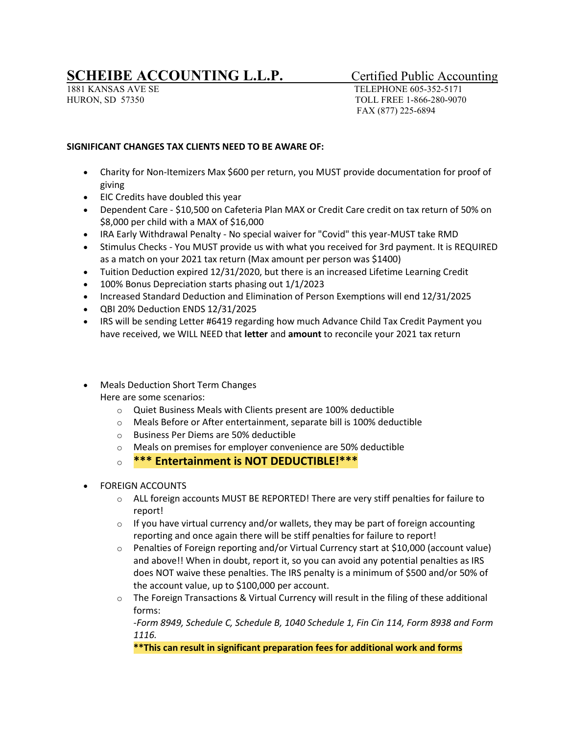## **SCHEIBE ACCOUNTING L.L.P.** Certified Public Accounting

1881 KANSAS AVE SE TELEPHONE 605-352-5171 HURON, SD 57350 TOLL FREE 1-866-280-9070 FAX (877) 225-6894

## **SIGNIFICANT CHANGES TAX CLIENTS NEED TO BE AWARE OF:**

- Charity for Non-Itemizers Max \$600 per return, you MUST provide documentation for proof of giving
- EIC Credits have doubled this year
- Dependent Care \$10,500 on Cafeteria Plan MAX or Credit Care credit on tax return of 50% on \$8,000 per child with a MAX of \$16,000
- IRA Early Withdrawal Penalty No special waiver for "Covid" this year-MUST take RMD
- Stimulus Checks You MUST provide us with what you received for 3rd payment. It is REQUIRED as a match on your 2021 tax return (Max amount per person was \$1400)
- Tuition Deduction expired 12/31/2020, but there is an increased Lifetime Learning Credit
- 100% Bonus Depreciation starts phasing out 1/1/2023
- Increased Standard Deduction and Elimination of Person Exemptions will end 12/31/2025
- QBI 20% Deduction ENDS 12/31/2025
- IRS will be sending Letter #6419 regarding how much Advance Child Tax Credit Payment you have received, we WILL NEED that **letter** and **amount** to reconcile your 2021 tax return
- Meals Deduction Short Term Changes Here are some scenarios:
	- o Quiet Business Meals with Clients present are 100% deductible
	- o Meals Before or After entertainment, separate bill is 100% deductible
	- o Business Per Diems are 50% deductible
	- o Meals on premises for employer convenience are 50% deductible
	- o **\*\*\* Entertainment is NOT DEDUCTIBLE!\*\*\***
- FOREIGN ACCOUNTS
	- $\circ$  ALL foreign accounts MUST BE REPORTED! There are very stiff penalties for failure to report!
	- $\circ$  If you have virtual currency and/or wallets, they may be part of foreign accounting reporting and once again there will be stiff penalties for failure to report!
	- o Penalties of Foreign reporting and/or Virtual Currency start at \$10,000 (account value) and above!! When in doubt, report it, so you can avoid any potential penalties as IRS does NOT waive these penalties. The IRS penalty is a minimum of \$500 and/or 50% of the account value, up to \$100,000 per account.
	- $\circ$  The Foreign Transactions & Virtual Currency will result in the filing of these additional forms:

-*Form 8949, Schedule C, Schedule B, 1040 Schedule 1, Fin Cin 114, Form 8938 and Form 1116.*

**\*\*This can result in significant preparation fees for additional work and forms**